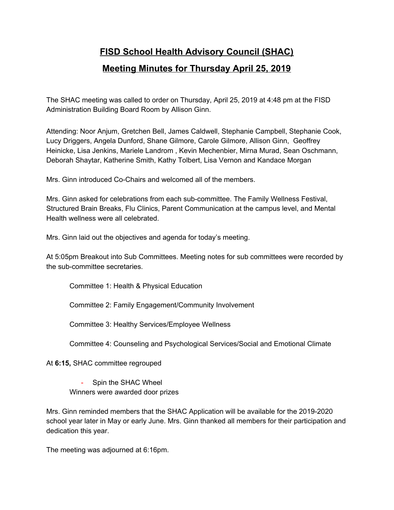## **FISD School Health Advisory Council (SHAC) Meeting Minutes for Thursday April 25, 2019**

The SHAC meeting was called to order on Thursday, April 25, 2019 at 4:48 pm at the FISD Administration Building Board Room by Allison Ginn.

Attending: Noor Anjum, Gretchen Bell, James Caldwell, Stephanie Campbell, Stephanie Cook, Lucy Driggers, Angela Dunford, Shane Gilmore, Carole Gilmore, Allison Ginn, Geoffrey Heinicke, Lisa Jenkins, Mariele Landrom , Kevin Mechenbier, Mirna Murad, Sean Oschmann, Deborah Shaytar, Katherine Smith, Kathy Tolbert, Lisa Vernon and Kandace Morgan

Mrs. Ginn introduced Co-Chairs and welcomed all of the members.

Mrs. Ginn asked for celebrations from each sub-committee. The Family Wellness Festival, Structured Brain Breaks, Flu Clinics, Parent Communication at the campus level, and Mental Health wellness were all celebrated.

Mrs. Ginn laid out the objectives and agenda for today's meeting.

At 5:05pm Breakout into Sub Committees. Meeting notes for sub committees were recorded by the sub-committee secretaries.

Committee 1: Health & Physical Education

Committee 2: Family Engagement/Community Involvement

Committee 3: Healthy Services/Employee Wellness

Committee 4: Counseling and Psychological Services/Social and Emotional Climate

At **6:15,** SHAC committee regrouped

- Spin the SHAC Wheel Winners were awarded door prizes

Mrs. Ginn reminded members that the SHAC Application will be available for the 2019-2020 school year later in May or early June. Mrs. Ginn thanked all members for their participation and dedication this year.

The meeting was adjourned at 6:16pm.